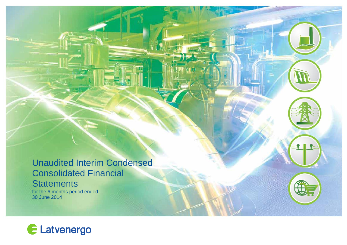Unaudited Interim Condensed Consolidated Financial **Statements** for the 6 months period ended 30 June 2014



**THE**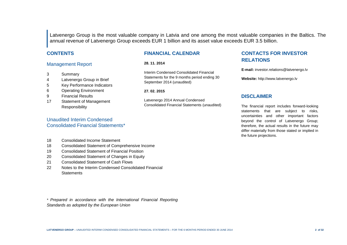Latvenergo Group is the most valuable company in Latvia and one among the most valuable companies in the Baltics. The annual revenue of Latvenergo Group exceeds EUR 1 billion and its asset value exceeds EUR 3.5 billion.

### **CONTENTS**

### Management Report

- 3 Summary
- 4 Latvenergo Group in Brief
- 5 Key Performance Indicators
- 6 Operating Environment
- 9 Financial Results
- 17 Statement of Management **Responsibility**

### Unaudited Interim Condensed Consolidated Financial Statements\*

**FINANCIAL CALENDAR**

#### **28. 11. 2014**

Interim Condensed Consolidated Financial Statements for the 9 months period ending 30 September 2014 (unaudited)

#### **27. 02. 2015**

Latvenergo 2014 Annual Condensed Consolidated Financial Statements (unaudited)

### **CONTACTS FOR INVESTOR RELATIONS**

**E-mail:** investor.relations@latvenergo.lv

**Website:** http://www.latvenergo.lv

#### **DISCLAIMER**

The financial report includes forward-looking statements that are subject to risks, uncertainties and other important factors beyond the control of Latvenergo Group; therefore, the actual results in the future may differ materially from those stated or implied in the future projections.

- 18 Consolidated Income Statement
- 18 Consolidated Statement of Comprehensive Income
- 19 Consolidated Statement of Financial Position
- 20 Consolidated Statement of Changes in Equity
- 21 Consolidated Statement of Cash Flows
- 22 Notes to the Interim Condensed Consolidated Financial **Statements**

*\* Prepared in accordance with the International Financial Reporting Standards as adopted by the European Union*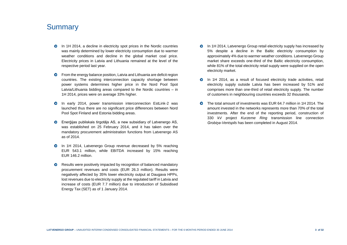# **Summary**

- **O** In 1H 2014, a decline in electricity spot prices in the Nordic countries was mainly determined by lower electricity consumption due to warmer weather conditions and decline in the global market coal price. Electricity prices in Latvia and Lithuania remained at the level of the respective period last year.
- $\bullet$ From the energy balance position, Latvia and Lithuania are deficit region countries. The existing interconnection capacity shortage between power systems determines higher price in the Nord Pool Spot Latvia/Lithuania bidding areas compared to the Nordic countries – in 1H 2014, prices were on average 33% higher.
- $\bullet$ In early 2014, power transmission interconnection EstLink-2 was launched thus there are no significant price differences between Nord Pool Spot Finland and Estonia bidding areas.
- $\bullet$ Enerģijas publiskais tirgotājs AS, a new subsidiary of Latvenergo AS, was established on 25 February 2014, and it has taken over the mandatory procurement administration functions from Latvenergo AS as of 2014.
- $\bullet$ In 1H 2014, Latvenergo Group revenue decreased by 5% reaching EUR 543.1 million, while EBITDA increased by 15% reaching EUR 146.2 million.
- Results were positively impacted by recognition of balanced mandatory  $\bullet$ procurement revenues and costs (EUR 26.3 million). Results were negatively affected by 35% lower electricity output at Daugava HPPs, lost revenues due to electricity supply at the regulated tariff in Latvia and increase of costs (EUR 7.7 million) due to introduction of Subsidised Energy Tax (SET) as of 1 January 2014.
- $\bullet$ In 1H 2014, Latvenergo Group retail electricity supply has increased by 5% despite a decline in the Baltic electricity consumption by approximately 4% due to warmer weather conditions. Latvenergo Group market share exceeds one-third of the Baltic electricity consumption, while 81% of the total electricity retail supply were supplied on the open electricity market.
- In 1H 2014, as a result of focused electricity trade activities, retail  $\bullet$ electricity supply outside Latvia has been increased by 51% and comprises more than one-third of retail electricity supply. The number of customers in neighbouring countries exceeds 32 thousands.
- $\bullet$ The total amount of investments was EUR 64.7 million in 1H 2014. The amount invested in the networks represents more than 70% of the total investments. After the end of the reporting period, construction of 330 kV project *Kurzeme Ring* transmission line connection *Grobiņa-Ventspils* has been completed in August 2014.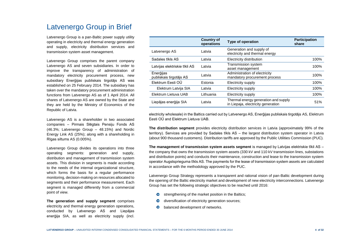# Latvenergo Group in Brief

Latvenergo Group is a pan-Baltic power supply utility operating in electricity and thermal energy generation and supply, electricity distribution services and transmission system asset management.

Latvenergo Group comprises the parent company Latvenergo AS and seven subsidiaries. In order to improve the transparency of administration of mandatory electricity procurement process, new subsidiary Enerģijas publiskais tirgotājs AS was established on 25 February 2014. The subsidiary has taken over the mandatory procurement administration functions from Latvenergo AS as of 1 April 2014. All shares of Latvenergo AS are owned by the State and they are held by the Ministry of Economics of the Republic of Latvia.

Latvenergo AS is a shareholder in two associated companies – Pirmais Slēgtais Pensiju Fonds AS (46.3%; Latvenergo Group – 48.15%) and Nordic Energy Link AS (25%); along with a shareholding in Rīgas siltums AS (0.005%).

Latvenergo Group divides its operations into three operating segments: generation and supply, distribution and management of transmission system assets. This division in segments is made according to the needs of the internal organizational structure, which forms the basis for a regular performance monitoring, decision-making on resources allocated to segments and their performance measurement. Each segment is managed differently from a commercial point of view.

**The generation and supply segment** comprises electricity and thermal energy generation operations, conducted by Latvenergo AS and Liepājas enerģija SIA, as well as electricity supply (incl.

|                                      | <b>Country of</b><br>operations | Type of operation                                                          | <b>Participation</b><br>share |
|--------------------------------------|---------------------------------|----------------------------------------------------------------------------|-------------------------------|
| Latvenergo AS                        | Latvia                          | Generation and supply of<br>electricity and thermal energy                 |                               |
| Sadales tīkls AS                     | Latvia                          | Electricity distribution                                                   | 100%                          |
| Latvijas elektriskie tīkli AS        | Latvia                          | Transmission system<br>asset management                                    | 100%                          |
| Enerģijas<br>publiskais tirgotājs AS | Latvia                          | Administration of electricity<br>mandatory procurement process             | 100%                          |
| Elektrum Eesti OÜ                    | Estonia                         | Electricity supply                                                         | 100%                          |
| Elektrum Latvija SIA                 | Latvia                          | Electricity supply                                                         | 100%                          |
| Elektrum Lietuva UAB                 | Lithuania                       | Electricity supply                                                         | 100%                          |
| Liepājas enerģija SIA                | Latvia                          | Thermal energy generation and supply<br>in Liepaja, electricity generation | 51%                           |

electricity wholesale) in the Baltics carried out by Latvenergo AS, Enerģijas publiskais tirgotājs AS, Elektrum Eesti OÜ and Elektrum Lietuva UAB.

**The distribution segment** provides electricity distribution services in Latvia (approximately 99% of the territory). Services are provided by Sadales tīkls AS – the largest distribution system operator in Latvia (about 900 thousand customers). Distribution tariffs are approved by the Public Utilities Commission (PUC).

**The management of transmission system assets segment** is managed by Latvijas elektriskie tīkli AS – the company that owns the transmission system assets (330 kV and 110 kV transmission lines, substations and distribution points) and conducts their maintenance, construction and lease to the transmission system operator Augstsprieguma tīkls AS. The payments for the lease of transmission system assets are calculated in accordance with the methodology approved by the PUC.

Latvenergo Group Strategy represents a transparent and rational vision of pan-Baltic development during the opening of the Baltic electricity market and development of new electricity interconnections. Latvenergo Group has set the following strategic objectives to be reached until 2016:

- strengthening of the market position in the Baltics;
- diversification of electricity generation sources;
- balanced development of networks.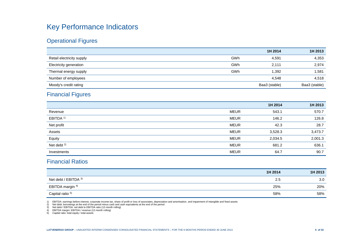# Key Performance Indicators

# Operational Figures

|                           |     | 1H 2014       | 1H 2013       |
|---------------------------|-----|---------------|---------------|
| Retail electricity supply | GWh | 4,591         | 4,353         |
| Electricity generation    | GWh | 2.111         | 2,974         |
| Thermal energy supply     | GWh | .392          | 1,581         |
| Number of employees       |     | 4.548         | 4,518         |
| Moody's credit rating     |     | Baa3 (stable) | Baa3 (stable) |

# Financial Figures

|                        |             | 1H 2014 | 1H 2013 |
|------------------------|-------------|---------|---------|
| Revenue                | <b>MEUR</b> | 543.1   | 570.7   |
| EBITDA <sup>1)</sup>   | <b>MEUR</b> | 146.2   | 126.8   |
| Net profit             | <b>MEUR</b> | 42.3    | 28.7    |
| Assets                 | <b>MEUR</b> | 3,528.3 | 3,473.7 |
| Equity                 | <b>MEUR</b> | 2,034.5 | 2,001.3 |
| Net debt <sup>2)</sup> | <b>MEUR</b> | 681.2   | 636.1   |
| Investments            | <b>MEUR</b> | 64.7    | 90.7    |

# Financial Ratios

|                             | 1H 2014 | 1H 2013 |
|-----------------------------|---------|---------|
| Net debt / EBITDA 3)        | 2.5     | 3.0     |
| EBITDA margin <sup>4)</sup> | 25%     | 20%     |
| Capital ratio <sup>5)</sup> | 58%     | 58%     |

1) EBITDA: earnings before interest, corporate income tax, share of profit or loss of associates, depreciation and amortisation, and impairment of intangible and fixed assets<br>2) Net debt: borrowings at the end of the perio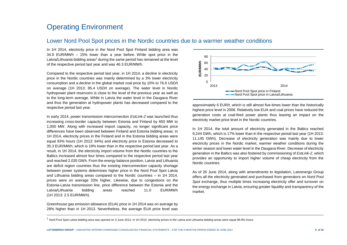# Operating Environment

### Lower Nord Pool Spot prices in the Nordic countries due to a warmer weather conditions

In 1H 2014, electricity price in the Nord Pool Spot Finland bidding area was 34.9 EUR/MWh – 15% lower than a year before. While spot price in the Latvia/Lithuania bidding areas<sup>1</sup> during the same period has remained at the level of the respective period last year and was 46.3 EUR/MWh.

Compared to the respective period last year, in 1H 2014, a decline in electricity price in the Nordic countries was mainly determined by a 3% lower electricity consumption and a decline in the global market coal price by 10% to 76.6 USD/t on average (1H 2013: 85.4 USD/t on average). The water level in Nordic hydropower plant reservoirs is close to the level of the previous year as well as to the long-term average. While in Latvia the water level in the Daugava River and thus the generation at hydropower plants has decreased compared to the respective period last year.

In early 2014, power transmission interconnection *EstLink-2* was launched thus increasing cross-border capacity between Estonia and Finland by 650 MW to 1,000 MW. Along with increased import capacity, no longer significant price differences have been observed between Finland and Estonia bidding areas: in 1H 2014, electricity prices in the Finland and in the Estonia bidding areas were equal 93% hours (1H 2013: 64%) and electricity price in Estonia decreased to 35.3 EUR/MWh, which is 19% lower than in the respective period last year. As a result, in 1H 2014, the electricity import volume from the Nordic countries to the Baltics increased almost four times compared to the respective period last year and reached 2,035 GWh. From the energy balance position, Latvia and Lithuania are deficit region countries thus the existing interconnection capacity shortage between power systems determines higher price in the Nord Pool Spot Latvia and Lithuania bidding areas compared to the Nordic countries – in 1H 2014, prices were on average 33% higher. Likewise, due to congestions on the Estonia-Latvia transmission line, price difference between the Estonia and the Latvia/Lithuania bidding areas reached 11.0 EUR/MWh (1H 2013: 2.5 EUR/MWh).

Greenhouse gas emission allowance (EUA) price in 1H 2014 was on average by 28% higher than in 1H 2013. Nevertheless, the average EUA price level was

l



approximately 6 EUR/t, which is still almost five-times lower than the historically highest price level in 2008. Relatively low EUA and coal prices have reduced the generation costs at coal-fired power plants thus leaving an impact on the electricity market price level in the Nordic countries.

In 1H 2014, the total amount of electricity generated in the Baltics reached 9,244 GWh, which is 17% lower than in the respective period last year (1H 2013: 11,145 GWh). Decrease of electricity generation was mainly due to lower electricity prices in the Nordic market, warmer weather conditions during the winter season and lower water level in the Daugava River. Decrease of electricity generation in the Baltics was also fostered by commissioning of *EstLink-2*, which provides an opportunity to import higher volume of cheap electricity from the Nordic countries.

As of 26 June 2014, along with amendments to legislation, Latvenergo Group offers all the electricity generated and purchased from generators on *Nord Pool Spot* exchange, thus multiple times increasing electricity offer and turnover on the energy exchange in Latvia, ensuring greater liquidity and transparency of the market.

 $1$  Nord Pool Spot Latvia bidding area was opened on 3 June 2013. In 1H 2014, electricity prices in the Latvia and Lithuania bidding areas were equal 99.9% hours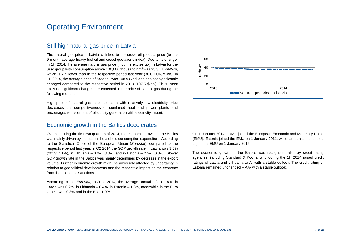# Operating Environment

## Still high natural gas price in Latvia

The natural gas price in Latvia is linked to the crude oil product price (to the 9-month average heavy fuel oil and diesel quotations index). Due to its change, in 1H 2014, the average natural gas price (incl. the excise tax) in Latvia for the user group with consumption above 100,000 thousand nm<sup>3</sup> was 35.3 EUR/MWh, which is 7% lower than in the respective period last year (38.0 EUR/MWh). In 1H 2014, the average price of *Brent* oil was 108.9 \$/bbl and has not significantly changed compared to the respective period in 2013 (107.5 \$/bbl). Thus, most likely no significant changes are expected in the price of natural gas during the following months.

High price of natural gas in combination with relatively low electricity price decreases the competitiveness of combined heat and power plants and encourages replacement of electricity generation with electricity import.

### Economic growth in the Baltics decelerates

Overall, during the first two quarters of 2014, the economic growth in the Baltics was mainly driven by increase in household consumption expenditure. According to the Statistical Office of the European Union (*Eurostat*), compared to the respective period last year, in Q2 2014 the GDP growth rate in Latvia was 3.5% (2013: 4.1%), in Lithuania – 3.0% (3.3%) and in Estonia – 2.5% (0.8%). Slower GDP growth rate in the Baltics was mainly determined by decrease in the export volume. Further economic growth might be adversely affected by uncertainty in relation to geopolitical developments and the respective impact on the economy from the economic sanctions.

According to the *Eurostat*, in June 2014, the average annual inflation rate in Latvia was 0.2%, in Lithuania – 0.4%, in Estonia – 1.8%, meanwhile in the Euro zone it was 0.8% and in the EU - 1.0%.



On 1 January 2014, Latvia joined the European Economic and Monetary Union (EMU). Estonia joined the EMU on 1 January 2011, while Lithuania is expected to join the EMU on 1 January 2015.

The economic growth in the Baltics was recognised also by credit rating agencies, including Standard & Poor's, who during the 1H 2014 raised credit ratings of Latvia and Lithuania to A- with a stable outlook. The credit rating of Estonia remained unchanged – AA- with a stable outlook.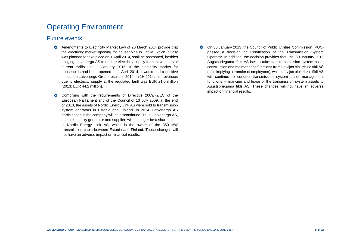# Operating Environment

### Future events

- Amendments to Electricity Market Law of 20 March 2014 provide that the electricity market opening for households in Latvia, which initially was planned to take place on 1 April 2014, shall be postponed, besides obliging Latvenergo AS to ensure electricity supply for captive users at current tariffs until 1 January 2015. If the electricity market for households had been opened on 1 April 2014, it would had a positive impact on Latvenergo Group results in 2014. In 1H 2014, lost revenues due to electricity supply at the regulated tariff was EUR 21.0 million (2013: EUR 44.2 million).
- $\bullet$ Complying with the requirements of Directive 2009/72/EC of the European Parliament and of the Council of 13 July 2009, at the end of 2013, the assets of Nordic Energy Link AS were sold to transmission system operators in Estonia and Finland. In 2014, Latvenergo AS participation in the company will be discontinued. Thus, Latvenergo AS, as an electricity generator and supplier, will no longer be a shareholder in Nordic Energy Link AS, which is the owner of the 350 MW transmission cable between Estonia and Finland. These changes will not have an adverse impact on financial results.
- $\bullet$ On 30 January 2013, the Council of Public Utilities Commission (PUC) passed a decision on Certification of the Transmission System Operator. In addition, the decision provides that until 30 January 2015 Augstsprieguma tīkls AS has to take over transmission system asset construction and maintenance functions from Latvijas elektriskie tīkli AS (also implying a transfer of employees), while Latvijas elektriskie tīkli AS will continue to conduct transmission system asset management functions – financing and lease of the transmission system assets to Augstsprieguma tīkls AS. These changes will not have an adverse impact on financial results.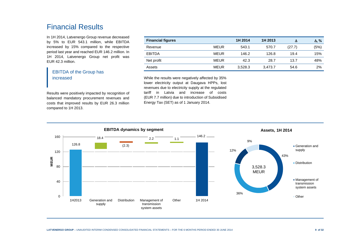# Financial Results

In 1H 2014, Latvenergo Group revenue decreased by 5% to EUR 543.1 million, while EBITDA increased by 15% compared to the respective period last year and reached EUR 146.2 million. In 1H 2014, Latvenergo Group net profit was EUR 42.3 million.

### EBITDA of the Group has increased

Results were positively impacted by recognition of balanced mandatory procurement revenues and costs that improved results by EUR 26.3 million compared to 1H 2013.

| <b>Financial figures</b> |             | 1H 2014 | 1H 2013 | Δ      | $\Delta, \%$ |
|--------------------------|-------------|---------|---------|--------|--------------|
| Revenue                  | <b>MEUR</b> | 543.1   | 570.7   | (27.7) | (5%)         |
| <b>EBITDA</b>            | <b>MEUR</b> | 146.2   | 126.8   | 19.4   | 15%          |
| Net profit               | <b>MEUR</b> | 42.3    | 28.7    | 13.7   | 48%          |
| Assets                   | <b>MEUR</b> | 3,528.3 | 3,473.7 | 54.6   | 2%           |

While the results were negatively affected by 35% lower electricity output at Daugava HPPs, lost revenues due to electricity supply at the regulated tariff in Latvia and increase of costs (EUR 7.7 million) due to introduction of Subsidised Energy Tax (SET) as of 1 January 2014.

126.8 146.2 (2.3)  $18.4$  2.2 1.1  $\Omega$ 40 80 120 160 1H2013 Generation and supply Distribution Management of transmission system assets Other 1H 2014 **MEUR EBITDA dynamics by segment** 43% 36% 12% 9% **Assets, 1H 2014** Generation and supply **Distribution** Management of transmission system assets **Other** 3,528.3 MEUR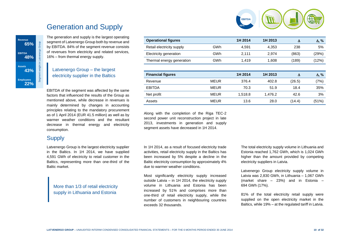

# Generation and Supply

The generation and supply is the largest operating segment of Latvenergo Group both by revenue and by EBITDA. 84% of the segment revenue consists of revenues from electricity and related services, 16% – from thermal energy supply.

### Latvenergo Group – the largest electricity supplier in the Baltics

EBITDA of the segment was affected by the same factors that influenced the results of the Group as mentioned above, while decrease in revenues is mainly determined by changes in accounting principles relating to the mandatory procurement as of 1 April 2014 (EUR 41.5 million) as well as by warmer weather conditions and the resultant decrease in thermal energy and electricity consumption.

## **Supply**

**Revenue**

**EBITDA 48%**

**Assets 43%**

**Employees 22%**

**65%**

Segment weight in Latvenergo Group

Group

Latvenergo Group is the largest electricity supplier in the Baltics. In 1H 2014, we have supplied 4,591 GWh of electricity to retail customer in the Baltics, representing more than one-third of the Baltic market.

More than 1/3 of retail electricity supply in Lithuania and Estonia

| <b>Operational figures</b> |             | 1H 2014 | 1H 2013 | Δ      | $\Delta$ , % |
|----------------------------|-------------|---------|---------|--------|--------------|
| Retail electricity supply  | GWh         | 4,591   | 4,353   | 238    | 5%           |
| Electricity generation     | GWh         | 2,111   | 2.974   | (863)  | (29%)        |
| Thermal energy generation  | GWh         | 1,419   | 1,608   | (189)  | (12%)        |
|                            |             |         |         |        |              |
|                            |             |         |         |        |              |
| <b>Financial figures</b>   |             | 1H 2014 | 1H 2013 | Δ      | $\Delta$ , % |
| Revenue                    | <b>MEUR</b> | 376.4   | 402.8   | (26.5) | (7%)         |
| <b>EBITDA</b>              | <b>MEUR</b> | 70.3    | 51.9    | 18.4   | 35%          |
| Net profit                 | <b>MEUR</b> | 1,518.8 | 1,476.2 | 42.6   | 3%           |

Along with the completion of the Riga TEC-2 second power unit reconstruction project in late 2013, investments in generation and supply segment assets have decreased in 1H 2014.

In 1H 2014, as a result of focused electricity trade activities, retail electricity supply in the Baltics has been increased by 5% despite a decline in the Baltic electricity consumption by approximately 4% due to warmer weather conditions.

Most significantly electricity supply increased outside Latvia – in 1H 2014, the electricity supply volume in Lithuania and Estonia has been increased by 51% and comprises more than one-third of retail electricity supply, while the number of customers in neighbouring countries exceeds 32 thousands.

The total electricity supply volume in Lithuania and Estonia reached 1,762 GWh, which is 1,024 GWh higher than the amount provided by competing electricity suppliers in Latvia.

Latvenergo Group electricity supply volume in Latvia was 2,830 GWh, in Lithuania – 1,067 GWh (market share – 23%) and in Estonia – 694 GWh (17%).

81% of the total electricity retail supply were supplied on the open electricity market in the Baltics, while 19% – at the regulated tariff in Latvia.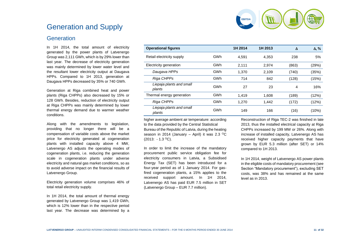

# Generation and Supply

## **Generation**

In 1H 2014, the total amount of electricity generated by the power plants of Latvenergo Group was 2,111 GWh, which is by 29% lower than last year. The decrease of electricity generation was mainly determined by lower water level and the resultant lower electricity output at Daugava HPPs. Compared to 1H 2013, generation at Daugava HPPs decreased by 35% or 740 GWh.

Generation at Riga combined heat and power plants (Riga CHPPs) also decreased by 15% or 128 GWh. Besides, reduction of electricity output at Riga CHPPs was mainly determined by lower thermal energy demand due to warmer weather conditions.

Along with the amendments to legislation, providing that no longer there will be a compensation of variable costs above the market price for electricity generated at cogeneration plants with installed capacity above 4 MW, Latvenergo AS adjusts the operating modes of cogeneration plants, i.e. reducing the generation scale in cogeneration plants under adverse electricity and natural gas market conditions, so as to avoid adverse impact on the financial results of Latvenergo Group.

Electricity generation volume comprises 46% of total retail electricity supply.

In 1H 2014, the total amount of thermal energy generated by Latvenergo Group was 1,419 GWh, which is 12% lower than in the respective period last year. The decrease was determined by a

| <b>Operational figures</b>         |     | 1H 2014 | 1H 2013 | Δ     | $\Delta$ , % |
|------------------------------------|-----|---------|---------|-------|--------------|
| Retail electricity supply          | GWh | 4.591   | 4,353   | 238   | 5%           |
| Electricity generation             | GWh | 2.111   | 2,974   | (863) | (29%)        |
| Daugava HPPs                       | GWh | 1.370   | 2,109   | (740) | (35%)        |
| Riga CHPPs                         | GWh | 714     | 842     | (128) | (15%)        |
| Liepaja plants and small<br>plants | GWh | 27      | 23      | 4     | 16%          |
| Thermal energy generation          | GWh | 1.419   | 1,608   | (189) | (12%)        |
| Riga CHPPs                         | GWh | 1.270   | 1,442   | (172) | (12%)        |
| Liepaja plants and small<br>plants | GWh | 149     | 166     | (16)  | (10%)        |

higher average ambient air temperature: according to the data provided by the Central Statistical Bureau of the Republic of Latvia, during the heating season in 2014 (January – April) it was 2.3 <sup>o</sup>C (2013: - 1.3 <sup>O</sup>C).

In order to limit the increase of the mandatory procurement public service obligation fee for electricity consumers in Latvia, a Subsidised Energy Tax (SET) has been introduced for a four-year period as of 1 January 2014. For gasfired cogeneration plants, a 15% applies to the received support amount. In 1H 2014, Latvenergo AS has paid EUR 7.5 million in SET (Latvenergo Group – EUR 7.7 million).

Reconstruction of Riga TEC-2 was finished in late 2013, thus the installed electrical capacity at Riga CHPPs increased by 199 MW or 26%. Along with increase of installed capacity, Latvenergo AS has received higher capacity payments that have grown by EUR 5.3 million (after SET) or 14% compared to 1H 2013.

In 1H 2014, weight of Latvenergo AS power plants in the eligible costs of mandatory procurement (see Section "Mandatory procurement"), excluding SET costs, was 38% and has remained at the same level as in 2013.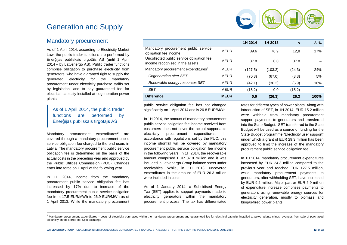

# Generation and Supply

### Mandatory procurement

As of 1 April 2014, according to Electricity Market Law, the public trader functions are performed by Enerģijas publiskais tirgotājs AS (until 1 April 2014 – by Latvenergo AS). Public trader functions comprise obligation to purchase electricity from generators, who have a granted right to supply the generated electricity for the mandatory procurement under electricity purchase tariffs set by legislation, and to pay guaranteed fee for electrical capacity installed at cogeneration power plants.

### As of 1 April 2014, the public trader functions are performed by Enerģijas publiskais tirgotājs AS

Mandatory procurement expenditures<sup>2</sup> are covered through a mandatory procurement public service obligation fee charged to the end users in Latvia. The mandatory procurement public service obligation fee is determined on the basis of the actual costs in the preceding year and approved by the Public Utilities Commission (PUC). Changes enter into force on 1 April of the following year.

In 1H 2014, income from the mandatory procurement public service obligation fee has increased by 17% due to increase of the mandatory procurement public service obligation fee from 17.5 EUR/MWh to 26.9 EUR/MWh as of 1 April 2013. While the mandatory procurement

l

|                                                                              |             | 1H 2014 | 1H 2013 | Δ      | $\Delta$ , % |
|------------------------------------------------------------------------------|-------------|---------|---------|--------|--------------|
| Mandatory procurement public service<br>obligation fee income                | <b>MEUR</b> | 89.6    | 76.9    | 12,8   | 17%          |
| Uncollected public service obligation fee<br>income recognised in the assets | <b>MEUR</b> | 37.8    | 0.0     | 37.8   |              |
| Mandatory procurement expenditures <sup>2</sup> :                            | <b>MEUR</b> | (127.5) | (103.2) | (24.3) | 24%          |
| Cogeneration after SET                                                       | <b>MEUR</b> | (70.3)  | (67.0)  | (3.3)  | 5%           |
| Renewable energy resources SET                                               | <b>MEUR</b> | (42.1)  | (36.2)  | (5.9)  | 16%          |
| <b>SET</b>                                                                   | <b>MEUR</b> | (15.2)  | 0.0     | (15.2) |              |
| <b>Difference</b>                                                            | <b>MEUR</b> | 0.0     | (26.3)  | 26.3   | 100%         |

public service obligation fee has not changed significantly on 1 April 2014 and is 26.8 EUR/MWh.

In 1H 2014, the amount of mandatory procurement public service obligation fee income received from customers does not cover the actual supportable electricity procurement expenditures. In accordance with regulations set by the PUC, this income shortfall will be covered by mandatory procurement public service obligation fee income in the following years. In 1H 2014, the recoverable amount comprised EUR 37.8 million and it was included in Latvenergo Group balance sheet under receivables. While, in 1H 2013, uncovered expenditures in the amount of EUR 26.3 million were included in costs.

As of 1 January 2014, a Subsidised Energy Tax (SET) applies to support payments made to electricity generators within the mandatory procurement process. The tax has differentiated

rates for different types of power plants. Along with introduction of SET, in 1H 2014, EUR 15.2 million were withheld from mandatory procurement support payments to generators and transferred into the State Budget. SET transferred to the State Budget will be used as a source of funding for the State Budget programme "Electricity user support" under which a grant of EUR 29.3 million has been approved to limit the increase of the mandatory procurement public service obligation fee.

In 1H 2014, mandatory procurement expenditures increased by EUR 24.3 million compared to the previous year and reached EUR 127.5 million, while mandatory procurement payments to generators, after withholding SET, have increased by EUR 9.2 million. Major part or EUR 5.9 million of expenditure increase comprises payments to generators using renewable energy sources for electricity generation, mostly to biomass and biogas-fired power plants.

<sup>&</sup>lt;sup>2</sup> Mandatory procurement expenditures – costs of electricity purchased within the mandatory procurement and quaranteed fee for electrical capacity installed at power plants minus revenues from sale of purchased electricity on the Nord Pool Spot exchange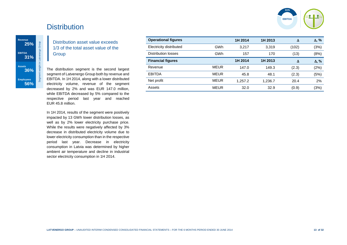

# **Distribution**

Segment weight in Latvenergo Group

Distribution asset value exceeds 1/3 of the total asset value of the **Group** 

The distribution segment is the second largest segment of Latvenergo Group both by revenue and EBITDA. In 1H 2014, along with a lower distributed electricity volume, revenue of the segment decreased by 2% and was EUR 147.0 million, while EBITDA decreased by 5% compared to the respective period last year and reached EUR 45.8 million.

In 1H 2014, results of the segment were positively impacted by 13 GWh lower distribution losses, as well as by 2% lower electricity purchase price. While the results were negatively affected by 3% decrease in distributed electricity volume due to lower electricity consumption than in the respective period last year. Decrease in electricity consumption in Latvia was determined by higher ambient air temperature and decline in industrial sector electricity consumption in 1H 2014.

| <b>Operational figures</b> |             | 1H 2014 | 1H 2013 | Δ     | $\Delta$ , % |
|----------------------------|-------------|---------|---------|-------|--------------|
| Electricity distributed    | GWh         | 3.217   | 3,319   | (102) | (3%)         |
| Distribution losses        | GWh         | 157     | 170     | (13)  | (8%)         |
| <b>Financial figures</b>   |             | 1H 2014 | 1H 2013 | Δ     | $\Delta$ , % |
| Revenue                    | <b>MEUR</b> | 147.0   | 149.3   | (2.3) | (2%)         |
| <b>EBITDA</b>              | <b>MEUR</b> | 45.8    | 48.1    | (2.3) | (5%)         |
| Net profit                 | <b>MEUR</b> | 1.257.2 | 1,236.7 | 20.4  | 2%           |
| Assets                     | <b>MEUR</b> | 32.0    | 32.9    | (0.9) | (3%)         |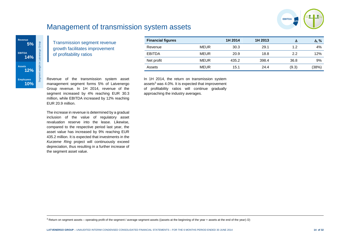

# Management of transmission system assets



l

Transmission segment revenue growth facilitates improvement of profitability ratios

| <b>Financial figures</b> |             | 1H 2014 | 1H 2013 | Δ     | Δ, %  |
|--------------------------|-------------|---------|---------|-------|-------|
| Revenue                  | <b>MEUR</b> | 30.3    | 29.1    | 1.2   | 4%    |
| <b>EBITDA</b>            | <b>MEUR</b> | 20.9    | 18.8    | 2.2   | 12%   |
| Net profit               | <b>MEUR</b> | 435.2   | 398.4   | 36.8  | 9%    |
| Assets                   | <b>MEUR</b> | 15.1    | 24.4    | (9.3) | (38%) |

Revenue of the transmission system asset management segment forms 5% of Latvenergo Group revenue. In 1H 2014, revenue of the segment increased by 4% reaching EUR 30.3 million, while EBITDA increased by 12% reaching EUR 20.9 million.

The increase in revenue is determined by a gradual inclusion of the value of regulatory asset revaluation reserve into the lease. Likewise, compared to the respective period last year, the asset value has increased by 9% reaching EUR 435.2 million. It is expected that investments in the *Kurzeme Ring* project will continuously exceed depreciation, thus resulting in a further increase of the segment asset value.

In 1H 2014, the return on transmission system assets<sup>3</sup> was 4.0%. It is expected that improvement of profitability ratios will continue gradually approaching the industry averages.

 $3$  Return on segment assets – operating profit of the segment / average segment assets ((assets at the beginning of the year + assets at the end of the year) /2)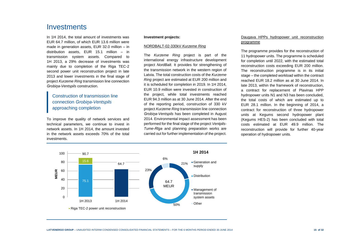# Investments

In 1H 2014, the total amount of investments was EUR 64.7 million, of which EUR 13.6 million were made in generation assets, EUR 32.0 million – in distribution assets, EUR 15.1 million – in transmission system assets. Compared to 1H 2013, a 29% decrease of investments was mainly due to completion of the Riga TEC-2 second power unit reconstruction project in late 2013 and lower investments in the final stage of project *Kurzeme Ring* transmission line connection *Grobiņa-Ventspils* construction.

### Construction of transmission line connection *Grobiņa-Ventspils* approaching completion

To improve the quality of network services and technical parameters, we continue to invest in network assets. In 1H 2014, the amount invested in the network assets exceeds 70% of the total investments.

#### **Investment projects:**

#### NORDBALT-02-330kV *Kurzeme Ring*

The *Kurzeme Ring* project is part of the international energy infrastructure development project *NordBalt*. It provides for strengthening of the transmission network in the western region of Latvia. The total construction costs of the *Kurzeme Ring* project are estimated at EUR 200 million and it is scheduled for completion in 2019. In 1H 2014, EUR 10.9 million were invested in construction of the project, while total investments reached EUR 94.3 million as at 30 June 2014. After the end of the reporting period, construction of 330 kV project *Kurzeme Ring* transmission line connection *Grobiņa-Ventspils* has been completed in August 2014. Environmental impact assessment has been performed for the final stage of the project *Ventpils-Tume-Rīga* and planning preparation works are carried out for further implementation of the project.

#### Daugava HPPs hydropower unit reconstruction programme

The programme provides for the reconstruction of 11 hydropower units. The programme is scheduled for completion until 2022, with the estimated total reconstruction costs exceeding EUR 200 million. The reconstruction programme is in its initial stage – the completed workload within the contract reached EUR 18.2 million as at 30 June 2014. In late 2013, within the framework of reconstruction, a contract for replacement of Plavinas HPP hydropower units N1 and N3 has been concluded, the total costs of which are estimated up to EUR 28.1 million. In the beginning of 2014, a contract for reconstruction of three hydropower units at Kegums second hydropower plant (Kegums HES-2) has been concluded with total costs estimated at EUR 49.9 million. The reconstruction will provide for further 40-year operation of hydropower units.

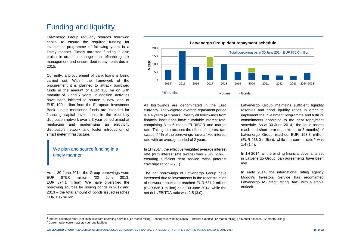# Funding and liquidity

Latvenergo Group regularly sources borrowed capital to ensure the required funding for investment programme of following years in a timely manner. Timely attracted funding is also cruical in order to manage loan refinancing risk management and ensure debt repayments due in 2015.

Currently, a procurement of bank loans is being carried out. Within the framework of the procurement it is planned to attrack borrowed funds in the amount of EUR 150 million with maturity of 5 and 7 years. In addition, activities have been initiated to source a new loan of EUR 100 million from the European Investment Bank. Latter mentioned funds are intended for financing capital investments in the electricity distribution network over a 3-year period aimed at reinforcing and modernising an electricity distribution network and foster introduction of smart meter infrastructure.

### We plan and source funding in a timely manner

As at 30 June 2014, the Group borrowings were EUR 875.0 million (30 June 2013: EUR 874.1 million). We have diversified the borrowing sources by issuing bonds in 2012 and 2013 – the total amount of bonds issued reaches EUR 105 million.



All borrowings are denominated in the Euro currency. The weighted average repayment period is 4.4 years (4.3 years). Nearly all borrowings from financial institutions have a variable interest rate, comprising 3 to 6 month EURIBOR and margin rate. Taking into account the effect of interest rate swaps, 44% of the borrowings have a fixed interest rate with an average period of 2 years.

In 1H 2014, the effective weighted average interest rate (with interest rate swaps) was 2.5% (2.6%), ensuring sufficient debt service ratios (interest coverage ratio  $4 - 7.1$ ).

The net borrowings of Latvenergo Group have increased due to investments in the reconstruction of network assets and reached EUR 681.2 million (EUR 636.1 million) as at 30 June 2014, while the net debt/EBITDA ratio was 2.5 (3.0).

Latvenergo Group maintains sufficient liquidity reserves and good liquidity ratios in order to implement the investment programme and fulfil its commitments according to the debt repayment schedule. As at 30 June 2014, the liquid assets (cash and short term deposits up to 3 months) of Latvenergo Group reached EUR 193.8 million (EUR 238.0 million), while the current ratio  $5$  was 1.4 (1.4).

In 1H 2014, all the binding financial covenants set in Latvenergo Group loan agreements have been met.

In early 2014, the international rating agency Moody's Investors Service has reconfirmed Latvenergo AS credit rating Baa3 with a stable outlook.

l

<sup>4</sup> Interest coverage ratio: (net cash flow from operating activities (12-month rolling) – changes in working capital + interest expense (12-month rolling) ) / interest expense (12-month rolling)

<sup>5</sup> Current ratio: current assets / current liabilities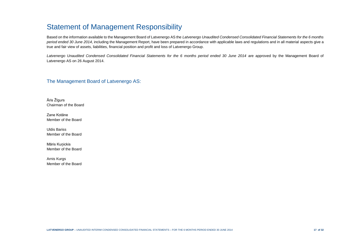# Statement of Management Responsibility

Based on the information available to the Management Board of Latvenergo AS the *Latvenergo Unaudited Condensed Consolidated Financial Statements for the 6 months period ended 30 June 2014*, including the Management Report, have been prepared in accordance with applicable laws and regulations and in all material aspects give a true and fair view of assets, liabilities, financial position and profit and loss of Latvenergo Group.

Latvenergo Unaudited Condensed Consolidated Financial Statements for the 6 months period ended 30 June 2014 are approved by the Management Board of Latvenergo AS on 26 August 2014.

#### The Management Board of Latvenergo AS:

Āris Žīgurs Chairman of the Board

Zane Kotāne Member of the Board

Uldis Bariss Member of the Board

Māris Kuņickis Member of the Board

Arnis Kurgs Member of the Board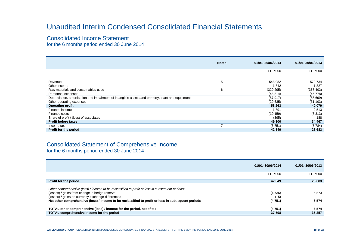# Unaudited Interim Condensed Consolidated Financial Statements

Consolidated Income Statement

for the 6 months period ended 30 June 2014

|                                                                                                  | <b>Notes</b> | 01/01-30/06/2014 | 01/01-30/06/2013 |
|--------------------------------------------------------------------------------------------------|--------------|------------------|------------------|
|                                                                                                  |              |                  |                  |
|                                                                                                  |              | <b>EUR'000</b>   | <b>EUR'000</b>   |
|                                                                                                  |              |                  |                  |
| Revenue                                                                                          | 5            | 543.082          | 570,734          |
| Other income                                                                                     |              | .842             | 1,327            |
| Raw materials and consumables used                                                               | 6            | (320, 295)       | (367, 402)       |
| Personnel expenses                                                                               |              | (48, 814)        | (46, 778)        |
| Depreciation, amortisation and impairment of intangible assets and property, plant and equipment |              | (87, 917)        | (86, 699)        |
| Other operating expenses                                                                         |              | (29, 635)        | (31, 103)        |
| <b>Operating profit</b>                                                                          |              | 58,263           | 40,079           |
| Finance income                                                                                   |              | 391.ا            | 2,513            |
| Finance costs                                                                                    |              | (10, 159)        | (8,313)          |
| Share of profit / (loss) of associates                                                           |              | (395)            | 188              |
| <b>Profit before taxes</b>                                                                       |              | 49,100           | 34,467           |
| Income tax                                                                                       |              | (6,751)          | (5,784)          |
| Profit for the period                                                                            |              | 42,349           | 28,683           |

### Consolidated Statement of Comprehensive Income for the 6 months period ended 30 June 2014

|                                                                                                    | 01/01-30/06/2014 | 01/01-30/06/2013 |
|----------------------------------------------------------------------------------------------------|------------------|------------------|
|                                                                                                    | <b>EUR'000</b>   | <b>EUR'000</b>   |
| Profit for the period                                                                              | 42,349           | 28,683           |
| Other comprehensive (loss) / income to be reclassified to profit or loss in subsequent periods:    |                  |                  |
| (losses) / gains from change in hedge reserve                                                      | (4,736)          | 6,573            |
| (losses) / gains on currency exchange differences                                                  | (15)             |                  |
| Net other comprehensive (loss) / income to be reclassified to profit or loss in subsequent periods | (4,751)          | 6,574            |
|                                                                                                    |                  |                  |
| TOTAL other comprehensive (loss) / income for the period, net of tax                               | (4,751)          | 6,574            |
| TOTAL comprehensive income for the period                                                          | 37,598           | 35,257           |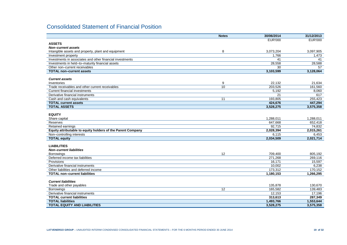# Consolidated Statement of Financial Position

|                                                             | <b>Notes</b>    | 30/06/2014     | 31/12/2013     |
|-------------------------------------------------------------|-----------------|----------------|----------------|
|                                                             |                 | <b>EUR'000</b> | <b>EUR'000</b> |
| <b>ASSETS</b>                                               |                 |                |                |
| Non-current assets                                          |                 |                |                |
| Intangible assets and property, plant and equipment         | 8               | 3,073,204      | 3,097,905      |
| Investment property                                         |                 | 1.766          | 1,473          |
| Investments in associates and other financial investments   |                 | 41             | 41             |
| Investments in held-to-maturity financial assets            |                 | 28,558         | 28,588         |
| Other non-current receivables                               |                 | 30             | 57             |
| <b>TOTAL non-current assets</b>                             |                 | 3,103,599      | 3,128,064      |
| <b>Current assets</b>                                       |                 |                |                |
| Inventories                                                 | 9               | 22.132         | 21,634         |
| Trade receivables and other current receivables             | 10              | 203,526        | 161,560        |
| <b>Current financial investments</b>                        |                 | 5,192          | 8,060          |
| Derivative financial instruments                            |                 | 21             | 617            |
| Cash and cash equivalents                                   | 11              | 193,805        | 255,423        |
| <b>TOTAL current assets</b>                                 |                 | 424,676        | 447,294        |
| <b>TOTAL ASSETS</b>                                         |                 | 3,528,275      | 3,575,358      |
|                                                             |                 |                |                |
| <b>EQUITY</b>                                               |                 |                |                |
| Share capital                                               |                 | 1,288,011      | 1,288,011      |
| Reserves                                                    |                 | 647,668        | 652,418        |
| Retained earnings                                           |                 | 92,715         | 74,832         |
| Equity attributable to equity holders of the Parent Company |                 | 2,028,394      | 2,015,261      |
| Non-controlling interests                                   |                 | 6,115          | 6,453          |
| <b>TOTAL equity</b>                                         |                 | 2,034,509      | 2,021,714      |
|                                                             |                 |                |                |
| <b>LIABILITIES</b>                                          |                 |                |                |
| <b>Non-current liabilities</b>                              |                 |                |                |
| <b>Borrowings</b>                                           | 12              | 709.400        | 805.192        |
| Deferred income tax liabilities                             |                 | 271.268        | 269.116        |
| Provisions                                                  |                 | 16.171         | 15,597         |
| Derivative financial instruments                            |                 | 10,002         | 6,238          |
| Other liabilities and deferred income                       |                 | 173,312        | 170,152        |
| <b>TOTAL non-current liabilities</b>                        |                 | 1,180,153      | 1,266,295      |
| <b>Current liabilities</b>                                  |                 |                |                |
|                                                             |                 | 135,878        | 130,670        |
| Trade and other payables<br><b>Borrowings</b>               | $\overline{12}$ | 165,582        | 139,483        |
| Derivative financial instruments                            |                 | 12.153         | 17.196         |
| <b>TOTAL current liabilities</b>                            |                 | 313,613        | 287,349        |
| <b>TOTAL liabilities</b>                                    |                 | 1,493,766      | 1,553,644      |
| <b>TOTAL EQUITY AND LIABILITIES</b>                         |                 | 3,528,275      | 3,575,358      |
|                                                             |                 |                |                |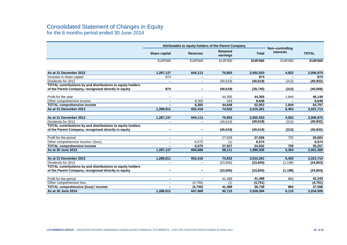## Consolidated Statement of Changes in Equity for the 6 months period ended 30 June 2014

|                                                                   |                          | Attributable to equity holders of the Parent Company | Non-controlling             |                |                  |                |
|-------------------------------------------------------------------|--------------------------|------------------------------------------------------|-----------------------------|----------------|------------------|----------------|
|                                                                   | Share capital            | <b>Reserves</b>                                      | <b>Retained</b><br>earnings | <b>Total</b>   | <b>interests</b> | <b>TOTAL</b>   |
|                                                                   | <b>EUR'000</b>           | <b>EUR'000</b>                                       | <b>EUR'000</b>              | <b>EUR'000</b> | <b>EUR'000</b>   | <b>EUR'000</b> |
|                                                                   |                          |                                                      |                             |                |                  |                |
| As at 31 December 2012                                            | 1,287,137                | 644,113                                              | 70,803                      | 2,002,053      | 4,922            | 2,006,975      |
| Increase in share capital                                         | 874                      |                                                      |                             | 874            |                  | 874            |
| Dividends for 2012                                                |                          | $\overline{\phantom{0}}$                             | (40, 619)                   | (40, 619)      | (313)            | (40, 932)      |
| TOTAL contributions by and distributions to equity holders        |                          |                                                      |                             |                |                  |                |
| of the Parent Company, recognised directly in equity              | 874                      |                                                      | (40, 619)                   | (39, 745)      | (313)            | (40, 058)      |
| Profit for the year                                               | $\overline{\phantom{m}}$ |                                                      | 44.305                      | 44,305         | 1,844            | 46,149         |
| Other comprehensive income                                        | $\qquad \qquad -$        | 8,305                                                | 343                         | 8.648          |                  | 8,648          |
| <b>TOTAL comprehensive income</b>                                 |                          | 8.305                                                | 44.648                      | 52.953         | 1.844            | 54,797         |
| As at 31 December 2013                                            | 1.288.011                | 652,418                                              | 74.832                      | 2,015,261      | 6,453            | 2,021,714      |
|                                                                   |                          |                                                      |                             |                |                  |                |
| As at 31 December 2012                                            | 1,287,137                | 644,113                                              | 70,803                      | 2,002,053      | 4,922            | 2,006,975      |
| Dividends for 2012                                                |                          | $\overline{\phantom{0}}$                             | (40, 619)                   | (40, 619)      | (313)            | (40, 932)      |
| TOTAL contributions by and distributions to equity holders        |                          |                                                      |                             |                |                  |                |
| of the Parent Company, recognised directly in equity              |                          |                                                      | (40, 619)                   | (40, 619)      | (313)            | (40, 932)      |
|                                                                   |                          |                                                      |                             |                |                  |                |
| Profit for the period                                             |                          | $\overline{\phantom{0}}$                             | 27.928                      | 27.928         | 755              | 28,683         |
| Other comprehensive income / (loss)                               |                          | 6.575                                                | (1)                         | 6,574          |                  | 6,574          |
| <b>TOTAL comprehensive income</b>                                 |                          | 6.575                                                | 27,927                      | 34,502         | 755              | 35,257         |
| As at 30 June 2013                                                | 1,287,137                | 650,688                                              | 58,111                      | 1,995,936      | 5,364            | 2,001,300      |
|                                                                   |                          |                                                      |                             |                |                  |                |
| As at 31 December 2013                                            | 1,288,011                | 652,418                                              | 74,832                      | 2,015,261      | 6,453            | 2,021,714      |
| Dividends for 2013                                                | $\qquad \qquad -$        | $\overline{\phantom{0}}$                             | (23, 605)                   | (23, 605)      | (1, 198)         | (24, 803)      |
| <b>TOTAL contributions by and distributions to equity holders</b> |                          |                                                      |                             |                |                  |                |
| of the Parent Company, recognised directly in equity              | $\overline{\phantom{0}}$ |                                                      | (23, 605)                   | (23, 605)      | (1, 198)         | (24, 803)      |
|                                                                   |                          |                                                      |                             |                |                  |                |
| Profit for the period                                             |                          |                                                      | 41,489                      | 41,489         | 860              | 42,349         |
| Other comprehensive loss                                          | $\qquad \qquad -$        | (4,750)                                              | (1)                         | (4, 751)       |                  | (4,751)        |
| <b>TOTAL comprehensive (loss) / income</b>                        |                          | (4, 750)                                             | 41,488                      | 36,738         | 860              | 37,598         |
| As at 30 June 2014                                                | 1,288,011                | 647,668                                              | 92,715                      | 2,028,394      | 6,115            | 2,034,509      |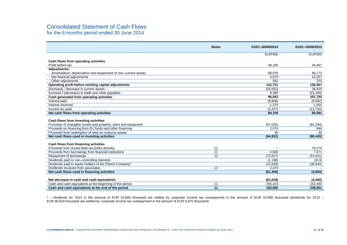# Consolidated Statement of Cash Flows

for the 6 months period ended 30 June 2014

|                                                                   | <b>Notes</b>          | 01/01-30/06/2014 | 01/01-30/06/2013 |
|-------------------------------------------------------------------|-----------------------|------------------|------------------|
|                                                                   |                       |                  |                  |
|                                                                   |                       | <b>EUR'000</b>   | <b>EUR'000</b>   |
| Cash flows from operating activities                              |                       |                  |                  |
| Profit before tax                                                 |                       | 49,100           | 34,467           |
| <b>Adjustments:</b>                                               |                       |                  |                  |
| - Amortisation, depreciation and impairment of non-current assets |                       | 88,976           | 89,173           |
| - Net financial adjustments                                       |                       | 4,073            | 12,557           |
| - Other adjustments                                               |                       | 582              | 370              |
| Operating profit before working capital adjustments               |                       | 142,731          | 136,567          |
| (Increase) / decrease in current assets                           |                       | (55, 553)        | 28,420           |
| Increase / (decrease) in trade and other payables                 |                       | 9,385            | (63, 284)        |
| Cash generated from operating activities                          |                       | 96,563           | 101,703          |
| Interest paid                                                     |                       | (9,808)          | (9,942)          |
| Interest received                                                 |                       | 1,376            | 1,554            |
| Income tax paid                                                   |                       | (3, 427)         | (12, 734)        |
| Net cash flows from operating activities                          |                       | 84,704           | 80,581           |
|                                                                   |                       |                  |                  |
| Cash flows from investing activities                              |                       |                  |                  |
| Purchase of intangible assets and property, plant and equipment   |                       | (67,026)         | (81, 294)        |
| Proceeds on financing from EU funds and other financing           |                       | 2,074            | 844              |
| Proceeds from redemption of held-to-maturity assets               |                       | 30               | 30               |
| Net cash flows used in investing activities                       |                       | (64, 922)        | (80, 420)        |
|                                                                   |                       |                  |                  |
| Cash flows from financing activities                              |                       |                  |                  |
| Proceeds from issued debt securities (bonds)                      | 12<br>$\overline{12}$ | 2,600            | 70,274<br>7,671  |
| Proceeds from borrowings from financial institutions              | 12                    |                  |                  |
| Repayment of borrowings                                           |                       | (72, 627)        | (51, 641)        |
| Dividends paid to non-controlling interests                       |                       | (1, 198)         | (313)            |
| Dividends paid to equity holders of the Parent Company*           |                       | (12, 649)        | (30, 644)        |
| Dividends received from associates                                | 13                    | 2,474            |                  |
| Net cash flows used in financing activities                       |                       | (81, 400)        | (4,653)          |
| Net decrease in cash and cash equivalents                         |                       | (61, 618)        | (4, 492)         |
| Cash and cash equivalents at the beginning of the period          | 11                    | 255,423          | 242,493          |
| Cash and cash equivalents at the end of the period                | 11                    | 193.805          | 238.001          |
|                                                                   |                       |                  |                  |

\* – dividends for 2013 in the amount of EUR 23,605 thousand are settled by corporate income tax overpayment in the amount of EUR 10,956 thousand (dividends for 2012 – EUR 40,619 thousand are settled by corporate income tax overpayment in the amount of EUR 9,975 thousand).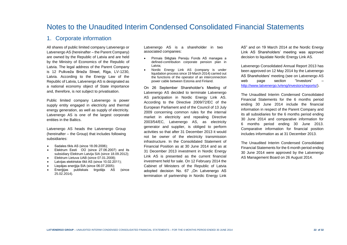# Notes to the Unaudited Interim Condensed Consolidated Financial Statements

### 1. Corporate information

All shares of public limited company Latvenergo or Latvenergo AS (hereinafter – the Parent Company) are owned by the Republic of Latvia and are held by the Ministry of Economics of the Republic of Latvia. The legal address of the Parent Company is 12 Pulkveža Brieža Street, Riga, LV-1230, Latvia. According to the Energy Law of the Republic of Latvia, Latvenergo AS is designated as a national economy object of State importance and, therefore, is not subject to privatisation.

Public limited company Latvenergo is power supply entity engaged in electricity and thermal energy generation, as well as supply of electricity. Latvenergo AS is one of the largest corporate entities in the Baltics.

Latvenergo AS heads the Latvenergo Group (hereinafter – the Group) that includes following subsidiaries:

- Sadales tīkls AS (since 18.09.2006):
- Elektrum Eesti OÜ (since 27.06.2007) and its subsidiary Elektrum Latvija SIA (since 18.09.2012);
- Elektrum Lietuva UAB (since 07.01.2008);
- Latvijas elektriskie tīkli AS (since 10.02.2011);
- Liepājas enerģija SIA (since 06.07.2005);
- Enerģijas publiskais tirgotājs AS (since 25.02.2014).

Latvenergo AS is a shareholder in two associated companies:

- Pirmais Slēgtais Pensiju Fonds AS manages a defined-contribution corporate pension plan in Latvia;
- Nordic Energy Link AS (company is under liquidation process since 19 March 2014) carried out the functions of the operator of an interconnection power cable between Estonia and Finland.

On 26 September Shareholder's Meeting of Latvenergo AS decided to terminate Latvenergo AS participation in Nordic Energy Link AS. According to the Directive 2009/72/EC of the European Parliament and of the Council of 13 July 2009 concerning common rules for the internal market in electricity and repealing Directive 2003/54/EC, Latvenergo AS, as electricity generator and supplier, is obliged to perform activities so that after 31 December 2013 it would not be owner of the electricity transmission infrastructure. In the Consolidated Statement of Financial Position as at 30 June 2014 and as at 31 December 2013 investment in Nordic Energy Link AS is presented as the current financial investment held for sale. On 12 February 2014 the Cabinet of Ministers of the Republic of Latvia adopted decision No. 67 "On Latvenergo AS termination of partnership in Nordic Energy Link

AS" and on 19 March 2014 at the Nordic Energy Link AS Shareholders' meeting was approved decision to liquidate Nordic Energy Link AS.

Latvenergo Consolidated Annual Report 2013 has been approved on 12 May 2014 by the Latvenergo AS Shareholders' meeting (see on Latvenergo AS web page section "Investors" [http://www.latvenergo.lv/eng/investors/reports/\)](http://www.latvenergo.lv/eng/investors/reports/).

The Unaudited Interim Condensed Consolidated Financial Statements for the 6 months period ending 30 June 2014 include the financial information in respect of the Parent Company and its all subsidiaries for the 6 months period ending 30 June 2014 and comparative information for 6 months period ending 30 June 2013. Comparative information for financial position includes information as at 31 December 2013.

The Unaudited Interim Condensed Consolidated Financial Statements for the 6 month period ending 30 June 2014 were approved by the Latvenergo AS Management Board on 26 August 2014.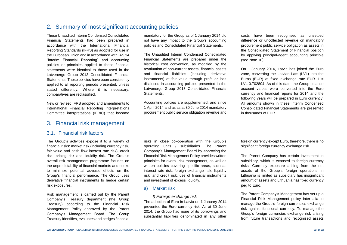# 2. Summary of most significant accounting policies

These Unaudited Interim Condensed Consolidated Financial Statements had been prepared in accordance with the International Financial Reporting Standards (IFRS) as adopted for use in the European Union and in accordance with IAS 34 "Interim Financial Reporting" and accounting policies or principles applied to these financial statements were identical to those used in the Latvenergo Group 2013 Consolidated Financial Statements. These policies have been consistently applied to all reporting periods presented, unless stated differently. Where it is necessary, comparatives are reclassified.

New or revised IFRS adopted and amendments to International Financial Reporting Interpretations Committee interpretations (IFRIC) that became

### 3. Financial risk management

#### 3.1. Financial risk factors

The Group's activities expose it to a variety of financial risks: market risk (including currency risk, fair value and cash flow interest rate risk), credit risk, pricing risk and liquidity risk. The Group's overall risk management programme focuses on the unpredictability of financial markets and seeks to minimize potential adverse effects on the Group's financial performance. The Group uses derivative financial instruments to hedge certain risk exposures.

Risk management is carried out by the Parent Company's Treasury department (the Group Treasury) according to the Financial Risk Management Policy approved by the Parent Company's Management Board. The Group Treasury identifies, evaluates and hedges financial

mandatory for the Group as of 1 January 2014 did not have any impact to the Group's accounting policies and Consolidated Financial Statements.

The Unaudited Interim Condensed Consolidated Financial Statements are prepared under the historical cost convention, as modified by the revaluation of non-current assets, financial assets and financial liabilities (including derivative instruments) at fair value through profit or loss disclosed in accounting policies presented in the Latvenergo Group 2013 Consolidated Financial Statements.

Accounting policies are supplemented, and since 1 April 2014 and as as at 30 June 2014 mandatory procurement public service obligation revenue and

risks in close co–operation with the Group's operating units / subsidiaries. The Parent Company's Management Board by approving the Financial Risk Management Policy provides written principles for overall risk management, as well as written policies covering specific areas, such as interest rate risk, foreign exchange risk, liquidity risk, and credit risk, use of financial instruments and investment of excess liquidity.

#### a) Market risk

*I) Foreign exchange risk* The adoption of Euro in Latvia on 1 January 2014 prevented the Euro currency risk. As at 30 June 2014, the Group had none of its borrowings and substantial liabilities denominated in any other costs have been recognised as unsettled difference or uncollected revenue on mandatory procurement public service obligation as assets in the Consolidated Statement of Financial position by applying principal-agent accounting principle (see Note 10).

On 1 January 2014, Latvia has joined the Euro zone, converting the Latvian Lats (LVL) into the Euros (EUR) at fixed exchange rate EUR  $1 =$ LVL 0.702804. As of this date, the Group balance account values were converted into the Euro currency and financial reports for 2014 and the following years will be prepared in Euro currency. All amounts shown in these Interim Condensed Consolidated Financial Statements are presented in thousands of EUR.

foreign currency except Euro, therefore, there is no significant foreign currency exchange risk.

The Parent Company has certain investment in subsidiary, which is exposed to foreign currency risks. Currency exposure arising from the net assets of the Group's foreign operations in Lithuania is limited as subsidiary has insignificant amount of assets and Lithuania has fixed currency peg to Euro.

The Parent Company's Management has set up a Financial Risk Management policy inter alia to manage the Group's foreign currencies exchange risk against functional currency. To manage the Group's foreign currencies exchange risk arising from future transactions and recognised assets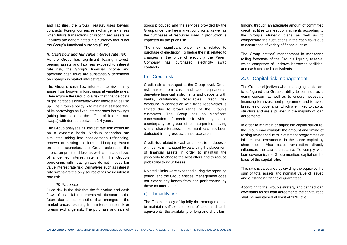and liabilities, the Group Treasury uses forward contracts. Foreign currencies exchange risk arises when future transactions or recognised assets or liabilities are denominated in a currency that is not the Group's functional currency (Euro).

*II) Cash flow and fair value interest rate risk* As the Group has significant floating interestbearing assets and liabilities exposed to interest rate risk, the Group's financial income and operating cash flows are substantially dependent on changes in market interest rates.

The Group's cash flow interest rate risk mainly arises from long-term borrowings at variable rates. They expose the Group to a risk that finance costs might increase significantly when interest rates rise up. The Group's policy is to maintain at least 35% of its borrowings as fixed interest rates borrowings (taking into account the effect of interest rate swaps) with duration between 2-4 years.

The Group analyses its interest rate risk exposure on a dynamic basis. Various scenarios are simulated taking into consideration refinancing, renewal of existing positions and hedging. Based on these scenarios, the Group calculates the impact on profit and loss as well as on cash flows of a defined interest rate shift. The Group's borrowings with floating rates do not impose fair value interest rate risk. Derivatives such as interest rate swaps are the only source of fair value interest rate risk.

#### *III) Price risk*

Price risk is the risk that the fair value and cash flows of financial instruments will fluctuate in the future due to reasons other than changes in the market prices resulting from interest rate risk or foreign exchange risk. The purchase and sale of goods produced and the services provided by the Group under the free market conditions, as well as the purchases of resources used in production is impacted by the price risk.

The most significant price risk is related to purchase of electricity. To hedge the risk related to changes in the price of electricity the Parent Company has purchased electricity swap contracts.

#### b) Credit risk

Credit risk is managed at the Group level. Credit risk arises from cash and cash equivalents, derivative financial instruments and deposits with banks, outstanding receivables. Credit risk exposure in connection with trade receivables is limited due to broad range of the Group's customers. The Group has no significant concentration of credit risk with any single counterparty or group of counterparties having similar characteristics. Impairment loss has been deducted from gross accounts receivable.

Credit risk related to cash and short-term deposits with banks is managed by balancing the placement of financial assets in order to maintain the possibility to choose the best offers and to reduce probability to incur losses.

No credit limits were exceeded during the reporting period, and the Group entities' management does not expect any losses from non-performance by these counterparties.

#### **Liquidity risk**

The Group's policy of liquidity risk management is to maintain sufficient amount of cash and cash equivalents, the availability of long and short term funding through an adequate amount of committed credit facilities to meet commitments according to the Group's strategic plans as well as to compensate the fluctuations in the cash flows due to occurrence of variety of financial risks.

The Group entities' management is monitoring rolling forecasts of the Group's liquidity reserve. which comprises of undrawn borrowing facilities. and cash and cash equivalents.

#### *3.2.* Capital risk management

The Group's objectives when managing capital are to safeguard the Group's ability to continue as a going concern as well as to ensure necessary financing for investment programme and to avoid breaches of covenants, which are linked to capital structure and are stipulated in the majority of loan agreements.

In order to maintain or adjust the capital structure, the Group may evaluate the amount and timing of raising new debt due to investment programmes or initiate new investments in the share capital by shareholder. Also asset revaluation directly influences the capital structure. To comply with loan covenants, the Group monitors capital on the basis of the capital ratio.

This ratio is calculated by dividing the equity by the sum of total assets and nominal value of issued and outstanding financial guarantees.

According to the Group's strategy and defined loan covenants as per loan agreements the capital ratio shall be maintained at least at 30% level.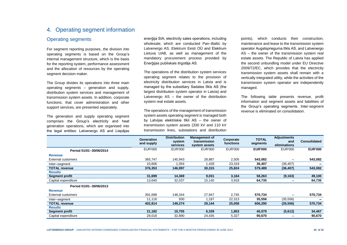## 4. Operating segment information

#### Operating segments

For segment reporting purposes, the division into operating segments is based on the Group's internal management structure, which is the basis for the reporting system, performance assessment and the allocation of resources by the operating segment decision maker.

The Group divides its operations into three main operating segments – generation and supply, distribution system services and management of transmission system assets. In addition, corporate functions, that cover administration and other support services, are presented separately.

The generation and supply operating segment comprises the Group's electricity and heat generation operations, which are organised into the legal entities: Latvenergo AS and Liepājas

enerģija SIA; electricity sales operations, including wholesale, which are conducted Pan–Baltic by Latvenergo AS, Elektrum Eesti OÜ and Elektrum Lietuva UAB, as well as management of the mandatory procurement process provided by Enerģijas publiskais tirgotājs AS.

The operations of the distribution system services operating segment relates to the provision of electricity distribution services in Latvia and is managed by the subsidiary Sadales tīkls AS (the largest distribution system operator in Latvia) and Latvenergo AS – the owner of the distribution system real estate assets.

The operations of the management of transmission system assets operating segment is managed both by Latvijas elektriskie tīkli AS – the owner of transmission system assets (330 kV and 110 kV transmission lines, substations and distribution

points), which conducts their construction, maintenance and lease to the transmission system operator Augstsprieguma tīkls AS, and Latvenergo AS – the owner of the transmission system real estate assets. The Republic of Latvia has applied the second unbundling model under EU Directive 2009/72/EC, which provides that the electricity transmission system assets shall remain with a vertically integrated utility, while the activities of the transmission system operator are independently managed.

The following table presents revenue, profit information and segment assets and liabilities of the Group's operating segments. Inter-segment revenue is eliminated on consolidation.

|                         | Generation<br>and supply | <b>Distribution</b><br>system<br>services | <b>Management of</b><br>transmission<br>system assets | Corporate<br>functions | <b>TOTAL</b><br>segments | <b>Adjustments</b><br>and<br>eliminations | Consolidated   |
|-------------------------|--------------------------|-------------------------------------------|-------------------------------------------------------|------------------------|--------------------------|-------------------------------------------|----------------|
| Period 01/01-30/06/2014 | <b>EUR'000</b>           | <b>EUR'000</b>                            | <b>EUR'000</b>                                        | <b>EUR'000</b>         | <b>EUR'000</b>           | <b>EUR'000</b>                            | <b>EUR'000</b> |
| <b>Revenue</b>          |                          |                                           |                                                       |                        |                          |                                           |                |
| External customers      | 365.747                  | 145,943                                   | 28.887                                                | 2,505                  | 543,082                  |                                           | 543,082        |
| Inter-segment           | 10,606                   | 1,054                                     | .428                                                  | 23,319                 | 36,407                   | (36,407)                                  |                |
| <b>TOTAL revenue</b>    | 376,353                  | 146,997                                   | 30,315                                                | 25,824                 | 579,489                  | (36, 407)                                 | 543,082        |
| <b>Results</b>          |                          |                                           |                                                       |                        |                          |                                           |                |
| <b>Segment profit</b>   | 31,699                   | 14,369                                    | 9,031                                                 | 3,164                  | 58,263                   | (9, 163)                                  | 49,100         |
| Capital expenditure     | 13,640                   | 32,037                                    | 15,140                                                | 3,918                  | 64,735                   | —                                         | 64,735         |
| Period 01/01-30/06/2013 |                          |                                           |                                                       |                        |                          |                                           |                |
| <b>Revenue</b>          |                          |                                           |                                                       |                        |                          |                                           |                |
| External customers      | 391.698                  | 148.344                                   | 27,947                                                | 2,745                  | 570,734                  | -                                         | 570,734        |
| Inter-segment           | 11.116                   | 930                                       | l.197                                                 | 22,313                 | 35,556                   | (35, 556)                                 |                |
| <b>TOTAL revenue</b>    | 402,814                  | 149,274                                   | 29,144                                                | 25,058                 | 606,290                  | (35, 556)                                 | 570,734        |
| <b>Results</b>          |                          |                                           |                                                       |                        |                          |                                           |                |
| <b>Segment profit</b>   | 21,182                   | 10,705                                    | 6,339                                                 | 1,853                  | 40,079                   | (5,612)                                   | 34,467         |
| Capital expenditure     | 28,018                   | 32,890                                    | 24,435                                                | 5,327                  | 90,670                   |                                           | 90,670         |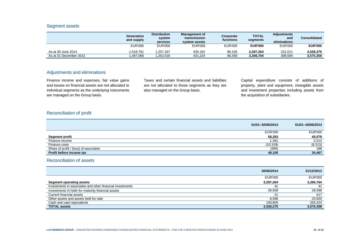#### Segment assets

|                        | Generation<br>and supply | <b>Distribution</b><br>system<br>services | <b>Management of</b><br>transmission<br>system assets | Corporate<br>functions | <b>TOTAL</b><br>segments | <b>Adjustments</b><br>and<br>eliminations | Consolidated   |
|------------------------|--------------------------|-------------------------------------------|-------------------------------------------------------|------------------------|--------------------------|-------------------------------------------|----------------|
|                        | <b>EUR'000</b>           | <b>EUR'000</b>                            | EUR'000                                               | EUR'000                | <b>EUR'000</b>           | <b>EUR'000</b>                            | <b>EUR'000</b> |
| As at 30 June 2014     | .518.791                 | 1.257.187                                 | 435.181                                               | 86.105                 | 3.297.264                | 231.011                                   | 3.528.275      |
| As at 31 December 2013 | .497.066                 | 252.016.                                  | 431.224                                               | 86.458                 | 3,266,764                | 308.594                                   | 3,575,358      |

#### Adjustments and eliminations

Finance income and expenses, fair value gains and losses on financial assets are not allocated to individual segments as the underlying instruments are managed on the Group basis.

Taxes and certain financial assets and liabilities are not allocated to those segments as they are also managed on the Group basis.

Capital expenditure consists of additions of property, plant and equipment, intangible assets and investment properties including assets from the acquisition of subsidiaries.

#### Reconciliation of profit

|                                        | 01/01-30/06/2014 | 01/01-30/06/2013 |
|----------------------------------------|------------------|------------------|
|                                        | <b>EUR'000</b>   | <b>EUR'000</b>   |
| Segment profit                         | 58,263           | 40,079           |
| Finance income                         | 391. ا           | 2,513            |
| Finance costs                          | (10, 159)        | (8, 313)         |
| Share of profit / (loss) of associates | (395)            | 188              |
| Profit before income tax               | 49,100           | 34,467           |

#### Reconciliation of assets

|                                                           | 30/06/2014     | 31/12/2013     |
|-----------------------------------------------------------|----------------|----------------|
|                                                           | <b>EUR'000</b> | <b>EUR'000</b> |
| <b>Segment operating assets</b>                           | 3.297.264      | 3,266,764      |
| Investments in associates and other financial investments | 41             | 41             |
| Investments in held-to-maturity financial assets          | 28,558         | 28,588         |
| Current financial assets                                  | 21             | 617            |
| Other assets and assets held for sale                     | 8.586          | 23,925         |
| Cash and cash equivalents                                 | 193.805        | 255,423        |
| <b>TOTAL assets</b>                                       | 3,528,275      | 3,575,358      |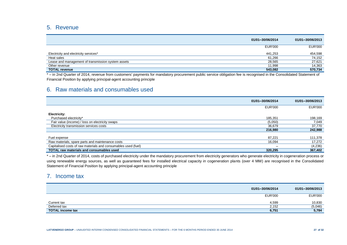## 5. Revenue

|                                                    | 01/01-30/06/2014 | 01/01-30/06/2013 |
|----------------------------------------------------|------------------|------------------|
|                                                    | <b>EUR'000</b>   | <b>EUR'000</b>   |
| Electricity and electricity services*              | 441.253          | 454,598          |
| Heat sales                                         | 61.266           | 74,152           |
| Lease and management of transmission system assets | 28,565           | 27,621           |
| Other revenue                                      | 11.998           | 14,363           |
| <b>TOTAL revenue</b>                               | 543.082          | 570,734          |
| .<br>$\sim$ $\sim$<br>. .                          | .                | .                |

\* – in 2nd Quarter of 2014, revenue from customers' payments for mandatory procurement public service obligation fee is recognised in the Consolidated Statement of Financial Position by applying principal-agent accounting principle

### 6. Raw materials and consumables used

|                                                                | 01/01-30/06/2014 | 01/01-30/06/2013 |
|----------------------------------------------------------------|------------------|------------------|
|                                                                | <b>EUR'000</b>   | <b>EUR'000</b>   |
| <b>Electricity:</b>                                            |                  |                  |
| Purchased electricity*                                         | 185,351          | 198,169          |
| Fair value (income) / loss on electricity swaps                | (5,050)          | 7,049            |
| Electricity transmission services costs                        | 36.679           | 37,770           |
|                                                                | 216,980          | 242,988          |
|                                                                |                  |                  |
| Fuel expense                                                   | 87.221           | 111,378          |
| Raw materials, spare parts and maintenance costs               | 16,094           | 17,272           |
| Capitalised costs of raw materials and consumables used (fuel) | —                | (4,236)          |
| <b>TOTAL raw materials and consumables used</b>                | 320,295          | 367,402          |

\* – in 2nd Quarter of 2014, costs of purchased electricity under the mandatory procurement from electricity generators who generate electricity in cogeneration process or using renewable energy sources, as well as guaranteed fees for installed electrical capacity in cogeneration plants (over 4 MW) are recognised in the Consolidated Statement of Financial Position by applying principal-agent accounting principle

### 7. Income tax

|                         | 01/01-30/06/2014 | 01/01-30/06/2013 |
|-------------------------|------------------|------------------|
|                         | <b>EUR'000</b>   | <b>EUR'000</b>   |
|                         |                  |                  |
| Current tax             | 4,599            | 10,830           |
| Deferred tax            | 2,152            | (5,046)          |
| <b>TOTAL income tax</b> | 6,751            | 5,784            |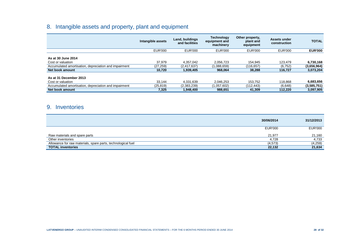# 8. Intangible assets and property, plant and equipment

|                                                       | Intangible assets | Land, buildings<br>and facilities | <b>Technology</b><br>equipment and<br>machinery | Other property,<br>plant and<br>equipment | Assets under<br>construction | <b>TOTAL</b>   |
|-------------------------------------------------------|-------------------|-----------------------------------|-------------------------------------------------|-------------------------------------------|------------------------------|----------------|
|                                                       | <b>EUR'000</b>    | <b>EUR'000</b>                    | <b>EUR'000</b>                                  | <b>EUR'000</b>                            | <b>EUR'000</b>               | <b>EUR'000</b> |
| As at 30 June 2014<br>Cost or valuation               | 37,979            | 4.357.042                         | 2.056.723                                       | 154.945                                   | 123.479                      | 6,730,168      |
| Accumulated amortisation, depreciation and impairment | (27, 259)         | (2,417,637)                       | (1.088.659)                                     | (116, 657)                                | (6, 752)                     | (3,656,964)    |
| Net book amount                                       | 10.720            | 1,939,405                         | 968.064                                         | 38.288                                    | 116.727                      | 3,073,204      |
| As at 31 December 2013<br>Cost or valuation           | 33,144            | 4.331.639                         | 2,046,253                                       | 153.752                                   | 118.868                      | 6,683,656      |
| Accumulated amortisation, depreciation and impairment | (25, 819)         | (2,383,239)                       | (1,057,602)                                     | (112.443)                                 | (6,648)                      | (3,585,751)    |
| Net book amount                                       | 7,325             | 1,948,400                         | 988,651                                         | 41,309                                    | 112,220                      | 3,097,905      |

# 9. Inventories

| 30/06/2014                                                   |          | 31/12/2013     |
|--------------------------------------------------------------|----------|----------------|
| <b>EUR'000</b>                                               |          | <b>EUR'000</b> |
| Raw materials and spare parts                                | 21,977   | 21,160         |
| Other inventories                                            | 4,728    | 4,733          |
| Allowance for raw materials, spare parts, technological fuel | (4, 573) | (4,259)        |
| <b>TOTAL inventories</b>                                     | 22,132   | 21,634         |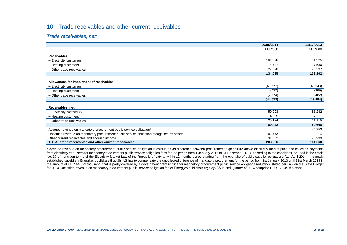# 10. Trade receivables and other current receivables

*Trade receivables, net:*

|                                                                                            | 30/06/2014     | 31/12/2013     |
|--------------------------------------------------------------------------------------------|----------------|----------------|
|                                                                                            | <b>EUR'000</b> | <b>EUR'000</b> |
| Receivables:                                                                               |                |                |
|                                                                                            |                |                |
| - Electricity customers                                                                    | 101,670        | 91,925         |
| - Heating customers                                                                        | 4,727          | 17,580         |
| - Other trade receivables                                                                  | 27,698         | 23,597         |
|                                                                                            | 134,095        | 133,102        |
|                                                                                            |                |                |
| Allowances for impairment of receivables:                                                  |                |                |
| - Electricity customers                                                                    | (41, 677)      | (40, 643)      |
| - Heating customers                                                                        | (422)          | (369)          |
| - Other trade receivables                                                                  | (2,574)        | (2,482)        |
|                                                                                            | (44, 673)      | (43, 494)      |
|                                                                                            |                |                |
| Receivables, net:                                                                          |                |                |
| - Electricity customers                                                                    | 59,993         | 51,282         |
| - Heating customers                                                                        | 4,305          | 17,211         |
| - Other trade receivables                                                                  | 25,124         | 21,115         |
|                                                                                            | 89,422         | 89,608         |
| Accrued revenue on mandatory procurement public service obligation*                        | -              | 44,953         |
| Unsettled revenue on mandatory procurement public service obligation recognised as assets* | 82,772         |                |
| Other current receivables and accrued income                                               | 31,332         | 26,999         |
| <b>TOTAL trade receivables and other current receivables</b>                               | 203,526        | 161,560        |
|                                                                                            |                |                |

\* Accrued revenue on mandatory procurement public service obligation is calculated as difference between procurement expenditure above electricity market price and collected payments from electricity end-users for mandatory procurement public service obligation fees for the period from 1 January 2013 to 31 December 2013. According to the conditions included in the article No. 37 of transition terms of the Electricity Market Law of the Republic of Latvia, within 12 months period starting from the overtake of public supplier obligations (1st April 2014), the newly established subsidiary Enerģijas publiskais tirgotājs AS has to compensate the uncollected difference of mandatory procurement for the period from 1st January 2013 until 31st March 2014 in the amount of EUR 64,823 thousand, that is partly covered by a government grant implicit for mandatory procurement public service obligation reduction, stated per Law on the State Budget for 2014. Unsettled revenue on mandatory procurement public service obligation fee of Enerģijas publiskais tirgotājs AS in 2nd Quarter of 2014 comprise EUR 17,949 thousand.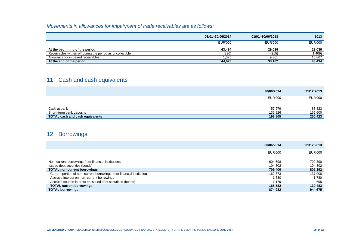## *Movements in allowances for impairment of trade receivables are as follows:*

|                                                            | 01/01-30/06/2014 | 01/01-30/06/2013 | 2013           |
|------------------------------------------------------------|------------------|------------------|----------------|
|                                                            | <b>EUR'000</b>   | <b>EUR'000</b>   | <b>EUR'000</b> |
| At the beginning of the period                             | 43.494           | 29.036           | 29,036         |
| Receivables written off during the period as uncollectible | (396)            | (215)            | (1,409)        |
| Allowance for impaired receivables                         | 575.             | 9,361            | 15,867         |
| At the end of the period                                   | 44,673           | 38,182           | 43,494         |

# 11. Cash and cash equivalents

|                                        | 30/06/2014     | 31/12/2013     |
|----------------------------------------|----------------|----------------|
|                                        | <b>EUR'000</b> | <b>EUR'000</b> |
| Cash at bank                           | 57,979         | 88,823         |
| Short-term bank deposits               | 135,826        | 166,600        |
| <b>TOTAL cash and cash equivalents</b> | 193,805        | 255,423        |

# 12. Borrowings

|                                                                       | 30/06/2014     | 31/12/2013     |
|-----------------------------------------------------------------------|----------------|----------------|
|                                                                       | <b>EUR'000</b> | <b>EUR'000</b> |
|                                                                       |                |                |
| Non-current borrowings from financial institutions                    | 604,598        | 700,390        |
| Issued debt securities (bonds)                                        | 104,802        | 104,802        |
| <b>TOTAL non-current borrowings</b>                                   | 709,400        | 805,192        |
| Current portion of non-current borrowings from financial institutions | 162.773        | 137,008        |
| Accrued interest on non-current borrowings                            | 1,630          | 1,780          |
| Accrued coupon interest on issued debt securities (bonds)             | 1.179          | 695            |
| <b>TOTAL current borrowings</b>                                       | 165,582        | 139,483        |
| <b>TOTAL borrowings</b>                                               | 874,982        | 944,675        |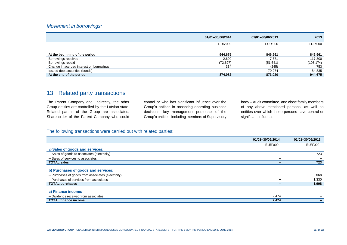#### *Movement in borrowings:*

|                                          | 01/01-30/06/2014 | 01/01-30/06/2013 | 2013           |
|------------------------------------------|------------------|------------------|----------------|
|                                          | <b>EUR'000</b>   | <b>EUR'000</b>   | <b>EUR'000</b> |
| At the beginning of the period           | 944,675          | 846.961          | 846,961        |
| Borrowings received                      | 2,600            | 7,671            | 117,300        |
| Borrowings repaid                        | (72, 627)        | (51, 641)        | (105, 174)     |
| Change in accrued interest on borrowings | 334              | (245)            | 753            |
| Issued debt securities (bonds)           | -                | 70.274           | 84,835         |
| At the end of the period                 | 874,982          | 873,020          | 944,675        |

## 13. Related party transactions

The Parent Company and, indirectly, the other Group entities are controlled by the Latvian state. Related parties of the Group are associates, Shareholder of the Parent Company who could control or who has significant influence over the Group's entities in accepting operating business decisions, key management personnel of the Group's entities, including members of Supervisory body – Audit committee, and close family members of any above–mentioned persons, as well as entities over which those persons have control or significant influence.

#### The following transactions were carried out with related parties:

|                                                    | 01/01-30/06/2014 | 01/01-30/06/2013 |
|----------------------------------------------------|------------------|------------------|
|                                                    | <b>EUR'000</b>   | EUR'000          |
| a) Sales of goods and services:                    |                  |                  |
| - Sales of goods to associates (electricity)       |                  | 723              |
| - Sales of services to associates                  |                  |                  |
| <b>TOTAL sales</b>                                 |                  | 723              |
| b) Purchases of goods and services:                |                  |                  |
| - Purchases of goods from associates (electricity) |                  | 668              |
| - Purchases of services from associates            |                  | 1,330            |
| <b>TOTAL purchases</b>                             |                  | 1,998            |
| c) Finance income:                                 |                  |                  |
| - Dividends received from associates               | 2,474            |                  |
| <b>TOTAL finance income</b>                        | 2,474            |                  |